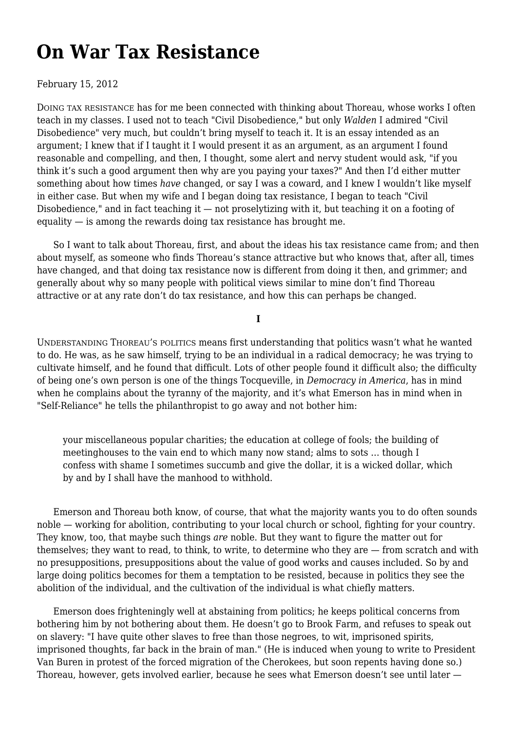## **[On War Tax Resistance](https://newpol.org/issue_post/war-tax-resistance/)**

## February 15, 2012

DOING TAX RESISTANCE has for me been connected with thinking about Thoreau, whose works I often teach in my classes. I used not to teach "Civil Disobedience," but only *Walden* I admired "Civil Disobedience" very much, but couldn't bring myself to teach it. It is an essay intended as an argument; I knew that if I taught it I would present it as an argument, as an argument I found reasonable and compelling, and then, I thought, some alert and nervy student would ask, "if you think it's such a good argument then why are you paying your taxes?" And then I'd either mutter something about how times *have* changed, or say I was a coward, and I knew I wouldn't like myself in either case. But when my wife and I began doing tax resistance, I began to teach "Civil Disobedience," and in fact teaching it — not proselytizing with it, but teaching it on a footing of equality — is among the rewards doing tax resistance has brought me.

 So I want to talk about Thoreau, first, and about the ideas his tax resistance came from; and then about myself, as someone who finds Thoreau's stance attractive but who knows that, after all, times have changed, and that doing tax resistance now is different from doing it then, and grimmer; and generally about why so many people with political views similar to mine don't find Thoreau attractive or at any rate don't do tax resistance, and how this can perhaps be changed.

**I**

UNDERSTANDING THOREAU'S POLITICS means first understanding that politics wasn't what he wanted to do. He was, as he saw himself, trying to be an individual in a radical democracy; he was trying to cultivate himself, and he found that difficult. Lots of other people found it difficult also; the difficulty of being one's own person is one of the things Tocqueville, in *Democracy in America*, has in mind when he complains about the tyranny of the majority, and it's what Emerson has in mind when in "Self-Reliance" he tells the philanthropist to go away and not bother him:

your miscellaneous popular charities; the education at college of fools; the building of meetinghouses to the vain end to which many now stand; alms to sots … though I confess with shame I sometimes succumb and give the dollar, it is a wicked dollar, which by and by I shall have the manhood to withhold.

 Emerson and Thoreau both know, of course, that what the majority wants you to do often sounds noble — working for abolition, contributing to your local church or school, fighting for your country. They know, too, that maybe such things *are* noble. But they want to figure the matter out for themselves; they want to read, to think, to write, to determine who they are — from scratch and with no presuppositions, presuppositions about the value of good works and causes included. So by and large doing politics becomes for them a temptation to be resisted, because in politics they see the abolition of the individual, and the cultivation of the individual is what chiefly matters.

 Emerson does frighteningly well at abstaining from politics; he keeps political concerns from bothering him by not bothering about them. He doesn't go to Brook Farm, and refuses to speak out on slavery: "I have quite other slaves to free than those negroes, to wit, imprisoned spirits, imprisoned thoughts, far back in the brain of man." (He is induced when young to write to President Van Buren in protest of the forced migration of the Cherokees, but soon repents having done so.) Thoreau, however, gets involved earlier, because he sees what Emerson doesn't see until later —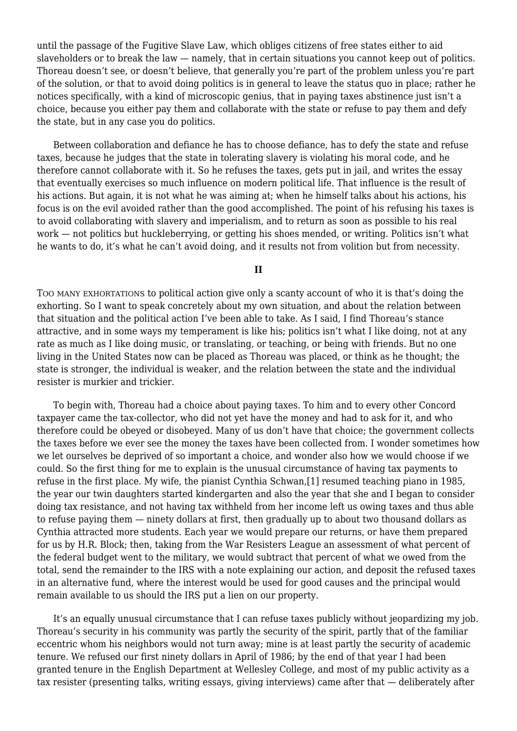until the passage of the Fugitive Slave Law, which obliges citizens of free states either to aid slaveholders or to break the law — namely, that in certain situations you cannot keep out of politics. Thoreau doesn't see, or doesn't believe, that generally you're part of the problem unless you're part of the solution, or that to avoid doing politics is in general to leave the status quo in place; rather he notices specifically, with a kind of microscopic genius, that in paying taxes abstinence just isn't a choice, because you either pay them and collaborate with the state or refuse to pay them and defy the state, but in any case you do politics.

 Between collaboration and defiance he has to choose defiance, has to defy the state and refuse taxes, because he judges that the state in tolerating slavery is violating his moral code, and he therefore cannot collaborate with it. So he refuses the taxes, gets put in jail, and writes the essay that eventually exercises so much influence on modern political life. That influence is the result of his actions. But again, it is not what he was aiming at; when he himself talks about his actions, his focus is on the evil avoided rather than the good accomplished. The point of his refusing his taxes is to avoid collaborating with slavery and imperialism, and to return as soon as possible to his real work — not politics but huckleberrying, or getting his shoes mended, or writing. Politics isn't what he wants to do, it's what he can't avoid doing, and it results not from volition but from necessity.

**II**

TOO MANY EXHORTATIONS to political action give only a scanty account of who it is that's doing the exhorting. So I want to speak concretely about my own situation, and about the relation between that situation and the political action I've been able to take. As I said, I find Thoreau's stance attractive, and in some ways my temperament is like his; politics isn't what I like doing, not at any rate as much as I like doing music, or translating, or teaching, or being with friends. But no one living in the United States now can be placed as Thoreau was placed, or think as he thought; the state is stronger, the individual is weaker, and the relation between the state and the individual resister is murkier and trickier.

 To begin with, Thoreau had a choice about paying taxes. To him and to every other Concord taxpayer came the tax-collector, who did not yet have the money and had to ask for it, and who therefore could be obeyed or disobeyed. Many of us don't have that choice; the government collects the taxes before we ever see the money the taxes have been collected from. I wonder sometimes how we let ourselves be deprived of so important a choice, and wonder also how we would choose if we could. So the first thing for me to explain is the unusual circumstance of having tax payments to refuse in the first place. My wife, the pianist Cynthia Schwan,[1] resumed teaching piano in 1985, the year our twin daughters started kindergarten and also the year that she and I began to consider doing tax resistance, and not having tax withheld from her income left us owing taxes and thus able to refuse paying them — ninety dollars at first, then gradually up to about two thousand dollars as Cynthia attracted more students. Each year we would prepare our returns, or have them prepared for us by H.R. Block; then, taking from the War Resisters League an assessment of what percent of the federal budget went to the military, we would subtract that percent of what we owed from the total, send the remainder to the IRS with a note explaining our action, and deposit the refused taxes in an alternative fund, where the interest would be used for good causes and the principal would remain available to us should the IRS put a lien on our property.

 It's an equally unusual circumstance that I can refuse taxes publicly without jeopardizing my job. Thoreau's security in his community was partly the security of the spirit, partly that of the familiar eccentric whom his neighbors would not turn away; mine is at least partly the security of academic tenure. We refused our first ninety dollars in April of 1986; by the end of that year I had been granted tenure in the English Department at Wellesley College, and most of my public activity as a tax resister (presenting talks, writing essays, giving interviews) came after that — deliberately after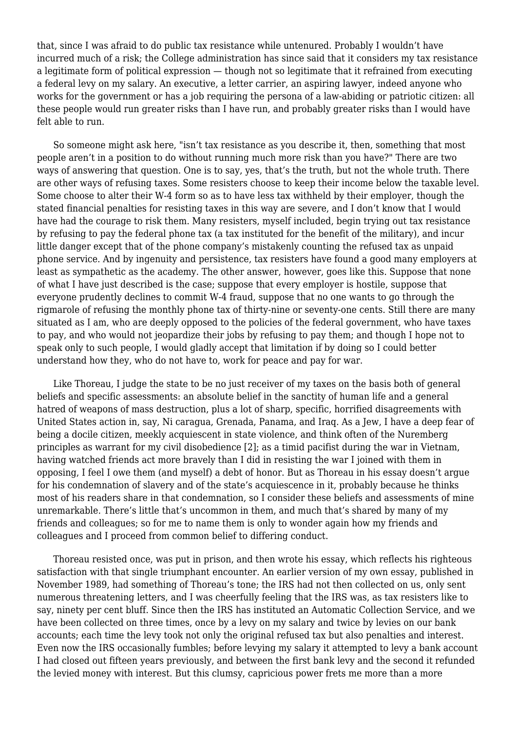that, since I was afraid to do public tax resistance while untenured. Probably I wouldn't have incurred much of a risk; the College administration has since said that it considers my tax resistance a legitimate form of political expression — though not so legitimate that it refrained from executing a federal levy on my salary. An executive, a letter carrier, an aspiring lawyer, indeed anyone who works for the government or has a job requiring the persona of a law-abiding or patriotic citizen: all these people would run greater risks than I have run, and probably greater risks than I would have felt able to run.

 So someone might ask here, "isn't tax resistance as you describe it, then, something that most people aren't in a position to do without running much more risk than you have?" There are two ways of answering that question. One is to say, yes, that's the truth, but not the whole truth. There are other ways of refusing taxes. Some resisters choose to keep their income below the taxable level. Some choose to alter their W-4 form so as to have less tax withheld by their employer, though the stated financial penalties for resisting taxes in this way are severe, and I don't know that I would have had the courage to risk them. Many resisters, myself included, begin trying out tax resistance by refusing to pay the federal phone tax (a tax instituted for the benefit of the military), and incur little danger except that of the phone company's mistakenly counting the refused tax as unpaid phone service. And by ingenuity and persistence, tax resisters have found a good many employers at least as sympathetic as the academy. The other answer, however, goes like this. Suppose that none of what I have just described is the case; suppose that every employer is hostile, suppose that everyone prudently declines to commit W-4 fraud, suppose that no one wants to go through the rigmarole of refusing the monthly phone tax of thirty-nine or seventy-one cents. Still there are many situated as I am, who are deeply opposed to the policies of the federal government, who have taxes to pay, and who would not jeopardize their jobs by refusing to pay them; and though I hope not to speak only to such people, I would gladly accept that limitation if by doing so I could better understand how they, who do not have to, work for peace and pay for war.

 Like Thoreau, I judge the state to be no just receiver of my taxes on the basis both of general beliefs and specific assessments: an absolute belief in the sanctity of human life and a general hatred of weapons of mass destruction, plus a lot of sharp, specific, horrified disagreements with United States action in, say, Ni caragua, Grenada, Panama, and Iraq. As a Jew, I have a deep fear of being a docile citizen, meekly acquiescent in state violence, and think often of the Nuremberg principles as warrant for my civil disobedience [2]; as a timid pacifist during the war in Vietnam, having watched friends act more bravely than I did in resisting the war I joined with them in opposing, I feel I owe them (and myself) a debt of honor. But as Thoreau in his essay doesn't argue for his condemnation of slavery and of the state's acquiescence in it, probably because he thinks most of his readers share in that condemnation, so I consider these beliefs and assessments of mine unremarkable. There's little that's uncommon in them, and much that's shared by many of my friends and colleagues; so for me to name them is only to wonder again how my friends and colleagues and I proceed from common belief to differing conduct.

 Thoreau resisted once, was put in prison, and then wrote his essay, which reflects his righteous satisfaction with that single triumphant encounter. An earlier version of my own essay, published in November 1989, had something of Thoreau's tone; the IRS had not then collected on us, only sent numerous threatening letters, and I was cheerfully feeling that the IRS was, as tax resisters like to say, ninety per cent bluff. Since then the IRS has instituted an Automatic Collection Service, and we have been collected on three times, once by a levy on my salary and twice by levies on our bank accounts; each time the levy took not only the original refused tax but also penalties and interest. Even now the IRS occasionally fumbles; before levying my salary it attempted to levy a bank account I had closed out fifteen years previously, and between the first bank levy and the second it refunded the levied money with interest. But this clumsy, capricious power frets me more than a more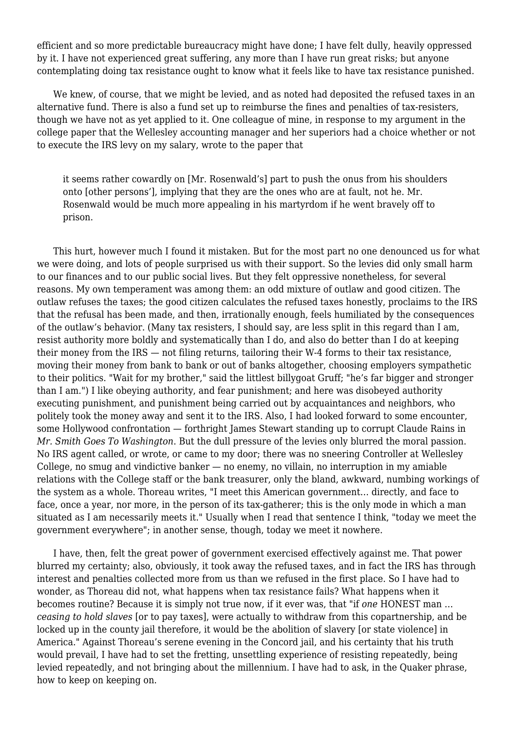efficient and so more predictable bureaucracy might have done; I have felt dully, heavily oppressed by it. I have not experienced great suffering, any more than I have run great risks; but anyone contemplating doing tax resistance ought to know what it feels like to have tax resistance punished.

 We knew, of course, that we might be levied, and as noted had deposited the refused taxes in an alternative fund. There is also a fund set up to reimburse the fines and penalties of tax-resisters, though we have not as yet applied to it. One colleague of mine, in response to my argument in the college paper that the Wellesley accounting manager and her superiors had a choice whether or not to execute the IRS levy on my salary, wrote to the paper that

it seems rather cowardly on [Mr. Rosenwald's] part to push the onus from his shoulders onto [other persons'], implying that they are the ones who are at fault, not he. Mr. Rosenwald would be much more appealing in his martyrdom if he went bravely off to prison.

 This hurt, however much I found it mistaken. But for the most part no one denounced us for what we were doing, and lots of people surprised us with their support. So the levies did only small harm to our finances and to our public social lives. But they felt oppressive nonetheless, for several reasons. My own temperament was among them: an odd mixture of outlaw and good citizen. The outlaw refuses the taxes; the good citizen calculates the refused taxes honestly, proclaims to the IRS that the refusal has been made, and then, irrationally enough, feels humiliated by the consequences of the outlaw's behavior. (Many tax resisters, I should say, are less split in this regard than I am, resist authority more boldly and systematically than I do, and also do better than I do at keeping their money from the IRS — not filing returns, tailoring their W-4 forms to their tax resistance, moving their money from bank to bank or out of banks altogether, choosing employers sympathetic to their politics. "Wait for my brother," said the littlest billygoat Gruff; "he's far bigger and stronger than I am.") I like obeying authority, and fear punishment; and here was disobeyed authority executing punishment, and punishment being carried out by acquaintances and neighbors, who politely took the money away and sent it to the IRS. Also, I had looked forward to some encounter, some Hollywood confrontation — forthright James Stewart standing up to corrupt Claude Rains in *Mr. Smith Goes To Washington*. But the dull pressure of the levies only blurred the moral passion. No IRS agent called, or wrote, or came to my door; there was no sneering Controller at Wellesley College, no smug and vindictive banker — no enemy, no villain, no interruption in my amiable relations with the College staff or the bank treasurer, only the bland, awkward, numbing workings of the system as a whole. Thoreau writes, "I meet this American government… directly, and face to face, once a year, nor more, in the person of its tax-gatherer; this is the only mode in which a man situated as I am necessarily meets it." Usually when I read that sentence I think, "today we meet the government everywhere"; in another sense, though, today we meet it nowhere.

 I have, then, felt the great power of government exercised effectively against me. That power blurred my certainty; also, obviously, it took away the refused taxes, and in fact the IRS has through interest and penalties collected more from us than we refused in the first place. So I have had to wonder, as Thoreau did not, what happens when tax resistance fails? What happens when it becomes routine? Because it is simply not true now, if it ever was, that "if *one* HONEST man … *ceasing to hold slaves* [or to pay taxes], were actually to withdraw from this copartnership, and be locked up in the county jail therefore, it would be the abolition of slavery [or state violence] in America." Against Thoreau's serene evening in the Concord jail, and his certainty that his truth would prevail, I have had to set the fretting, unsettling experience of resisting repeatedly, being levied repeatedly, and not bringing about the millennium. I have had to ask, in the Quaker phrase, how to keep on keeping on.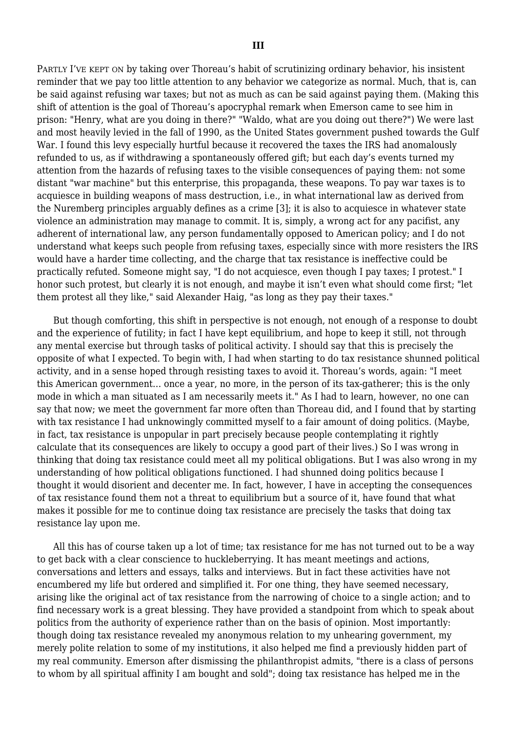PARTLY I'VE KEPT ON by taking over Thoreau's habit of scrutinizing ordinary behavior, his insistent reminder that we pay too little attention to any behavior we categorize as normal. Much, that is, can be said against refusing war taxes; but not as much as can be said against paying them. (Making this shift of attention is the goal of Thoreau's apocryphal remark when Emerson came to see him in prison: "Henry, what are you doing in there?" "Waldo, what are you doing out there?") We were last and most heavily levied in the fall of 1990, as the United States government pushed towards the Gulf War. I found this levy especially hurtful because it recovered the taxes the IRS had anomalously refunded to us, as if withdrawing a spontaneously offered gift; but each day's events turned my attention from the hazards of refusing taxes to the visible consequences of paying them: not some distant "war machine" but this enterprise, this propaganda, these weapons. To pay war taxes is to acquiesce in building weapons of mass destruction, i.e., in what international law as derived from the Nuremberg principles arguably defines as a crime [3]; it is also to acquiesce in whatever state violence an administration may manage to commit. It is, simply, a wrong act for any pacifist, any adherent of international law, any person fundamentally opposed to American policy; and I do not understand what keeps such people from refusing taxes, especially since with more resisters the IRS would have a harder time collecting, and the charge that tax resistance is ineffective could be practically refuted. Someone might say, "I do not acquiesce, even though I pay taxes; I protest." I honor such protest, but clearly it is not enough, and maybe it isn't even what should come first; "let them protest all they like," said Alexander Haig, "as long as they pay their taxes."

 But though comforting, this shift in perspective is not enough, not enough of a response to doubt and the experience of futility; in fact I have kept equilibrium, and hope to keep it still, not through any mental exercise but through tasks of political activity. I should say that this is precisely the opposite of what I expected. To begin with, I had when starting to do tax resistance shunned political activity, and in a sense hoped through resisting taxes to avoid it. Thoreau's words, again: "I meet this American government… once a year, no more, in the person of its tax-gatherer; this is the only mode in which a man situated as I am necessarily meets it." As I had to learn, however, no one can say that now; we meet the government far more often than Thoreau did, and I found that by starting with tax resistance I had unknowingly committed myself to a fair amount of doing politics. (Maybe, in fact, tax resistance is unpopular in part precisely because people contemplating it rightly calculate that its consequences are likely to occupy a good part of their lives.) So I was wrong in thinking that doing tax resistance could meet all my political obligations. But I was also wrong in my understanding of how political obligations functioned. I had shunned doing politics because I thought it would disorient and decenter me. In fact, however, I have in accepting the consequences of tax resistance found them not a threat to equilibrium but a source of it, have found that what makes it possible for me to continue doing tax resistance are precisely the tasks that doing tax resistance lay upon me.

 All this has of course taken up a lot of time; tax resistance for me has not turned out to be a way to get back with a clear conscience to huckleberrying. It has meant meetings and actions, conversations and letters and essays, talks and interviews. But in fact these activities have not encumbered my life but ordered and simplified it. For one thing, they have seemed necessary, arising like the original act of tax resistance from the narrowing of choice to a single action; and to find necessary work is a great blessing. They have provided a standpoint from which to speak about politics from the authority of experience rather than on the basis of opinion. Most importantly: though doing tax resistance revealed my anonymous relation to my unhearing government, my merely polite relation to some of my institutions, it also helped me find a previously hidden part of my real community. Emerson after dismissing the philanthropist admits, "there is a class of persons to whom by all spiritual affinity I am bought and sold"; doing tax resistance has helped me in the